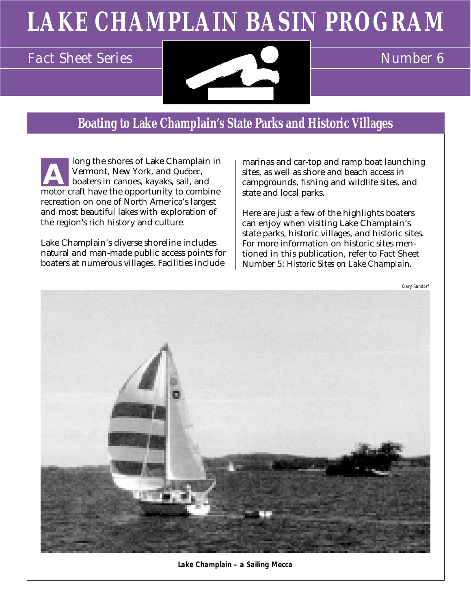# **LAKE CHAMPLAIN BASIN PROGRAM**



### **Boating to Lake Champlain's State Parks and Historic Villages**

long the shores of Lake Champlain in Vermont, New York, and Québec, boaters in canoes, kayaks, sail, and motor craft have the opportunity to combine recreation on one of North America's largest and most beautiful lakes with exploration of the region's rich history and culture. **A**

Lake Champlain's diverse shoreline includes natural and man-made public access points for boaters at numerous villages. Facilities include

marinas and car-top and ramp boat launching sites, as well as shore and beach access in campgrounds, fishing and wildlife sites, and state and local parks.

Here are just a few of the highlights boaters can enjoy when visiting Lake Champlain's state parks, historic villages, and historic sites. For more information on historic sites mentioned in this publication, refer to Fact Sheet Number 5: *Historic Sites on Lake Champlain*.



**Lake Champlain – a Sailing Mecca**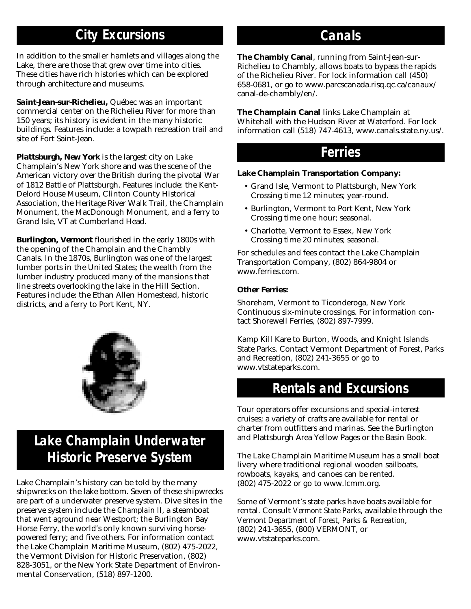# **City Excursions**

In addition to the smaller hamlets and villages along the Lake, there are those that grew over time into cities. These cities have rich histories which can be explored through architecture and museums.

*Saint-Jean-sur-Richelieu,* Québec was an important commercial center on the Richelieu River for more than 150 years; its history is evident in the many historic buildings. Features include: a towpath recreation trail and site of Fort Saint-Jean.

*Plattsburgh, New York* is the largest city on Lake Champlain's New York shore and was the scene of the American victory over the British during the pivotal War of 1812 Battle of Plattsburgh. Features include: the Kent-Delord House Museum, Clinton County Historical Association, the Heritage River Walk Trail, the Champlain Monument, the MacDonough Monument, and a ferry to Grand Isle, VT at Cumberland Head.

*Burlington, Vermont* flourished in the early 1800s with the opening of the Champlain and the Chambly Canals. In the 1870s, Burlington was one of the largest lumber ports in the United States; the wealth from the lumber industry produced many of the mansions that line streets overlooking the lake in the Hill Section. Features include: the Ethan Allen Homestead, historic districts, and a ferry to Port Kent, NY.



# **Lake Champlain Underwater Historic Preserve System**

Lake Champlain's history can be told by the many shipwrecks on the lake bottom. Seven of these shipwrecks are part of a underwater preserve system. Dive sites in the preserve system include the *Champlain II*, a steamboat that went aground near Westport; the Burlington Bay Horse Ferry, the world's only known surviving horsepowered ferry; and five others. For information contact the Lake Champlain Maritime Museum, (802) 475-2022, the Vermont Division for Historic Preservation, (802) 828-3051, or the New York State Department of Environmental Conservation, (518) 897-1200.

### **Canals**

**The Chambly Canal**, running from Saint-Jean-sur-Richelieu to Chambly, allows boats to bypass the rapids of the Richelieu River. For lock information call (450) 658-0681, or go to www.parcscanada.risq.qc.ca/canaux/ canal-de-chambly/en/.

**The Champlain Canal** links Lake Champlain at Whitehall with the Hudson River at Waterford. For lock information call (518) 747-4613, www.canals.state.ny.us/.

### **Ferries**

#### **Lake Champlain Transportation Company:**

- Grand Isle, Vermont to Plattsburgh, New York Crossing time 12 minutes; year-round.
- Burlington, Vermont to Port Kent, New York Crossing time one hour; seasonal.
- Charlotte, Vermont to Essex, New York Crossing time 20 minutes; seasonal.

For schedules and fees contact the Lake Champlain Transportation Company, (802) 864-9804 or www.ferries.com.

#### **Other Ferries:**

Shoreham, Vermont to Ticonderoga, New York Continuous six-minute crossings. For information contact Shorewell Ferries, (802) 897-7999.

Kamp Kill Kare to Burton, Woods, and Knight Islands State Parks. Contact Vermont Department of Forest, Parks and Recreation, (802) 241-3655 or go to www.vtstateparks.com.

### **Rentals and Excursions**

Tour operators offer excursions and special-interest cruises; a variety of crafts are available for rental or charter from outfitters and marinas. See the Burlington and Plattsburgh Area Yellow Pages or the Basin Book.

The Lake Champlain Maritime Museum has a small boat livery where traditional regional wooden sailboats, rowboats, kayaks, and canoes can be rented. (802) 475-2022 or go to www.lcmm.org.

Some of Vermont's state parks have boats available for rental. Consult *Vermont State Parks*, available through the *Vermont Department of Forest, Parks & Recreation*, (802) 241-3655, (800) VERMONT, or www.vtstateparks.com.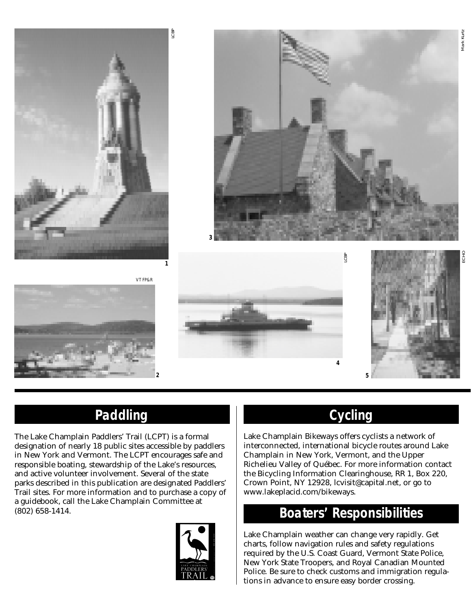



LCBP

**2**



**4**



### **Paddling**

The Lake Champlain Paddlers' Trail (LCPT) is a formal designation of nearly 18 public sites accessible by paddlers in New York and Vermont. The LCPT encourages safe and responsible boating, stewardship of the Lake's resources, and active volunteer involvement. Several of the state parks described in this publication are designated Paddlers' Trail sites. For more information and to purchase a copy of a guidebook, call the Lake Champlain Committee at



# **Cycling**

LCBP

Lake Champlain Bikeways offers cyclists a network of interconnected, international bicycle routes around Lake Champlain in New York, Vermont, and the Upper Richelieu Valley of Québec. For more information contact the Bicycling Information Clearinghouse, RR 1, Box 220, Crown Point, NY 12928, lcvisit@capital.net, or go to www.lakeplacid.com/bikeways.

### (802) 658-1414. **Boaters' Responsibilities**

Lake Champlain weather can change very rapidly. Get charts, follow navigation rules and safety regulations required by the U.S. Coast Guard, Vermont State Police, New York State Troopers, and Royal Canadian Mounted Police. Be sure to check customs and immigration regulations in advance to ensure easy border crossing.

Mark Kurtz

Mark Kurtz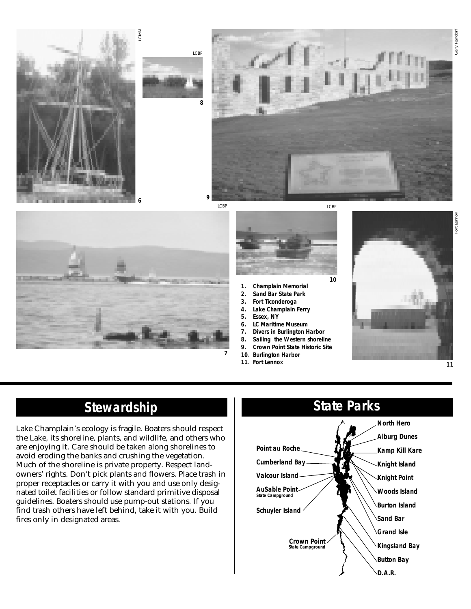





- **1. Champlain Memorial**
- **2. Sand Bar State Park**
- **3. Fort Ticonderoga**
- **4. Lake Champlain Ferry 5. Essex, NY**
- 
- **6. LC Maritime Museum 7. Divers in Burlington Harbor**
- **8. Sailing the Western shoreline**
- **9. Crown Point State Historic Site**
- **10. Burlington Harbor**
- **11. Fort Lennox**
- 



### **Stewardship**

Lake Champlain's ecology is fragile. Boaters should respect the Lake, its shoreline, plants, and wildlife, and others who are enjoying it. Care should be taken along shorelines to avoid eroding the banks and crushing the vegetation. Much of the shoreline is private property. Respect landowners' rights. Don't pick plants and flowers. Place trash in proper receptacles or carry it with you and use only designated toilet facilities or follow standard primitive disposal guidelines. Boaters should use pump-out stations. If you find trash others have left behind, take it with you. Build fires only in designated areas.



ort Lenno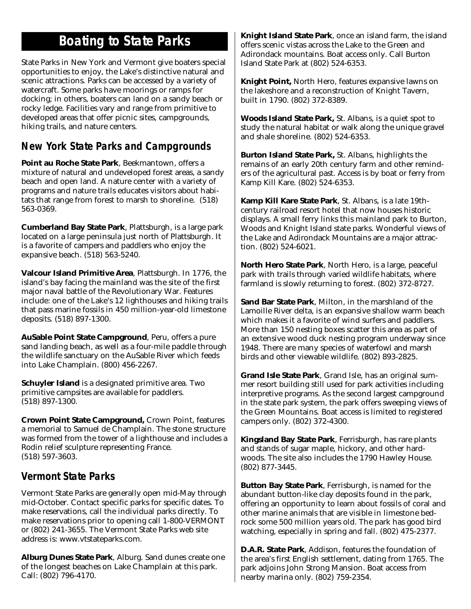### **Boating to State Parks**

State Parks in New York and Vermont give boaters special opportunities to enjoy, the Lake's distinctive natural and scenic attractions. Parks can be accessed by a variety of watercraft. Some parks have moorings or ramps for docking; in others, boaters can land on a sandy beach or rocky ledge. Facilities vary and range from primitive to developed areas that offer picnic sites, campgrounds, hiking trails, and nature centers.

### **New York State Parks and Campgrounds**

**Point au Roche State Park**, Beekmantown, offers a mixture of natural and undeveloped forest areas, a sandy beach and open land. A nature center with a variety of programs and nature trails educates visitors about habitats that range from forest to marsh to shoreline. (518) 563-0369.

**Cumberland Bay State Park**, Plattsburgh, is a large park located on a large peninsula just north of Plattsburgh. It is a favorite of campers and paddlers who enjoy the expansive beach. (518) 563-5240.

**Valcour Island Primitive Area**, Plattsburgh. In 1776, the island's bay facing the mainland was the site of the first major naval battle of the Revolutionary War. Features include: one of the Lake's 12 lighthouses and hiking trails that pass marine fossils in 450 million-year-old limestone deposits. (518) 897-1300.

**AuSable Point State Campground**, Peru, offers a pure sand landing beach, as well as a four-mile paddle through the wildlife sanctuary on the AuSable River which feeds into Lake Champlain. (800) 456-2267.

**Schuyler Island** is a designated primitive area. Two primitive campsites are available for paddlers. (518) 897-1300.

**Crown Point State Campground,** Crown Point, features a memorial to Samuel de Champlain. The stone structure was formed from the tower of a lighthouse and includes a Rodin relief sculpture representing France. (518) 597-3603.

### **Vermont State Parks**

Vermont State Parks are generally open mid-May through mid-October. Contact specific parks for specific dates. To make reservations, call the individual parks directly. To make reservations prior to opening call 1-800-VERMONT or (802) 241-3655. The Vermont State Parks web site address is: www.vtstateparks.com.

**Alburg Dunes State Park**, Alburg. Sand dunes create one of the longest beaches on Lake Champlain at this park. Call: (802) 796-4170.

**Knight Island State Park**, once an island farm, the island offers scenic vistas across the Lake to the Green and Adirondack mountains. Boat access only. Call Burton Island State Park at (802) 524-6353.

**Knight Point,** North Hero, features expansive lawns on the lakeshore and a reconstruction of Knight Tavern, built in 1790. (802) 372-8389.

**Woods Island State Park,** St. Albans, is a quiet spot to study the natural habitat or walk along the unique gravel and shale shoreline. (802) 524-6353.

**Burton Island State Park,** St. Albans, highlights the remains of an early 20th century farm and other reminders of the agricultural past. Access is by boat or ferry from Kamp Kill Kare. (802) 524-6353.

**Kamp Kill Kare State Park**, St. Albans, is a late 19thcentury railroad resort hotel that now houses historic displays. A small ferry links this mainland park to Burton, Woods and Knight Island state parks. Wonderful views of the Lake and Adirondack Mountains are a major attraction. (802) 524-6021.

**North Hero State Park**, North Hero, is a large, peaceful park with trails through varied wildlife habitats, where farmland is slowly returning to forest. (802) 372-8727.

**Sand Bar State Park**, Milton, in the marshland of the Lamoille River delta, is an expansive shallow warm beach which makes it a favorite of wind surfers and paddlers. More than 150 nesting boxes scatter this area as part of an extensive wood duck nesting program underway since 1948. There are many species of waterfowl and marsh birds and other viewable wildlife. (802) 893-2825.

**Grand Isle State Park**, Grand Isle, has an original summer resort building still used for park activities including interpretive programs. As the second largest campground in the state park system, the park offers sweeping views of the Green Mountains. Boat access is limited to registered campers only. (802) 372-4300.

**Kingsland Bay State Park**, Ferrisburgh, has rare plants and stands of sugar maple, hickory, and other hardwoods. The site also includes the 1790 Hawley House. (802) 877-3445.

**Button Bay State Park**, Ferrisburgh, is named for the abundant button-like clay deposits found in the park, offering an opportunity to learn about fossils of coral and other marine animals that are visible in limestone bedrock some 500 million years old. The park has good bird watching, especially in spring and fall. (802) 475-2377.

**D.A.R. State Park**, Addison, features the foundation of the area's first English settlement, dating from 1765. The park adjoins John Strong Mansion. Boat access from nearby marina only. (802) 759-2354.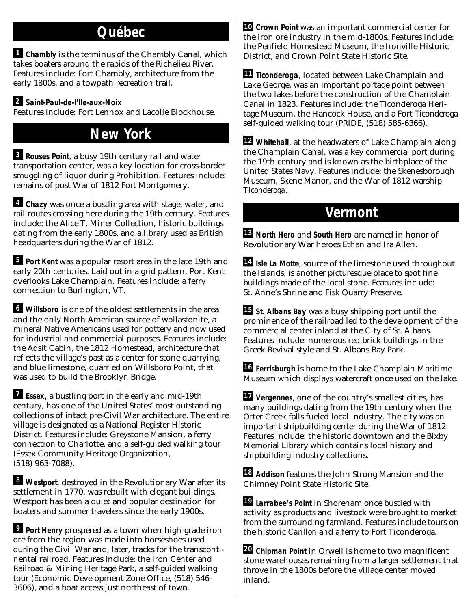### **Québec**

**Chambly** is the terminus of the Chambly Canal, which **1** takes boaters around the rapids of the Richelieu River. Features include: Fort Chambly, architecture from the early 1800s, and a towpath recreation trail.

### **Saint-Paul-de-l'Ile-aux-Noix 2**

Features include: Fort Lennox and Lacolle Blockhouse.

### **New York**

**Rouses Point**, a busy 19th century rail and water **3** transportation center, was a key location for cross-border smuggling of liquor during Prohibition. Features include: remains of post War of 1812 Fort Montgomery.

**Chazy** was once a bustling area with stage, water, and **4** rail routes crossing here during the 19th century. Features include: the Alice T. Miner Collection, historic buildings dating from the early 1800s, and a library used as British headquarters during the War of 1812.

**Port Kent** was a popular resort area in the late 19th and early 20th centuries. Laid out in a grid pattern, Port Kent overlooks Lake Champlain. Features include: a ferry connection to Burlington, VT.

**Willsboro** is one of the oldest settlements in the area **6** and the only North American source of wollastonite, a mineral Native Americans used for pottery and now used for industrial and commercial purposes. Features include: the Adsit Cabin, the 1812 Homestead, architecture that reflects the village's past as a center for stone quarrying, and blue limestone, quarried on Willsboro Point, that was used to build the Brooklyn Bridge.

**Essex**, a bustling port in the early and mid-19th **7** century, has one of the United States' most outstanding collections of intact pre-Civil War architecture. The entire village is designated as a National Register Historic District. Features include: Greystone Mansion, a ferry connection to Charlotte, and a self-guided walking tour (Essex Community Heritage Organization, (518) 963-7088).

**Westport**, destroyed in the Revolutionary War after its **8** settlement in 1770, was rebuilt with elegant buildings. Westport has been a quiet and popular destination for boaters and summer travelers since the early 1900s.

**Port Henry** prospered as a town when high-grade iron **9** ore from the region was made into horseshoes used during the Civil War and, later, tracks for the transcontinental railroad. Features include: the Iron Center and Railroad & Mining Heritage Park, a self-guided walking tour (Economic Development Zone Office, (518) 546- 3606), and a boat access just northeast of town.

**10 Crown Point** was an important commercial center for the iron ore industry in the mid-1800s. Features include: the Penfield Homestead Museum, the Ironville Historic District, and Crown Point State Historic Site.

**11 Ticonderoga**, located between Lake Champlain and Lake George, was an important portage point between the two lakes before the construction of the Champlain Canal in 1823. Features include: the Ticonderoga Heritage Museum, the Hancock House, and a Fort Ticonderoga self-guided walking tour (PRIDE, (518) 585-6366).

**12 Whitehall**, at the headwaters of Lake Champlain along the Champlain Canal, was a key commercial port during the 19th century and is known as the birthplace of the United States Navy. Features include: the Skenesborough Museum, Skene Manor, and the War of 1812 warship *Ticonderoga*.

### **Vermont**

**13 North Hero** and **South Hero** are named in honor of Revolutionary War heroes Ethan and Ira Allen.

**Isle La Motte**, source of the limestone used throughout **14** the Islands, is another picturesque place to spot fine buildings made of the local stone. Features include: St. Anne's Shrine and Fisk Quarry Preserve.

**St. Albans Bay** was a busy shipping port until the **15** prominence of the railroad led to the development of the commercial center inland at the City of St. Albans. Features include: numerous red brick buildings in the Greek Revival style and St. Albans Bay Park.

**Ferrisburgh** is home to the Lake Champlain Maritime **16** Museum which displays watercraft once used on the lake.

**Vergennes**, one of the country's smallest cities, has **17** many buildings dating from the 19th century when the Otter Creek falls fueled local industry. The city was an important shipbuilding center during the War of 1812. Features include: the historic downtown and the Bixby Memorial Library which contains local history and shipbuilding industry collections.

**Addison** features the John Strong Mansion and the **18** Chimney Point State Historic Site.

**Larrabee's Point** in Shoreham once bustled with **19** activity as products and livestock were brought to market from the surrounding farmland. Features include tours on the historic *Carillon* and a ferry to Fort Ticonderoga.

**Chipman Point** in Orwell is home to two magnificent **20**stone warehouses remaining from a larger settlement that throve in the 1800s before the village center moved inland.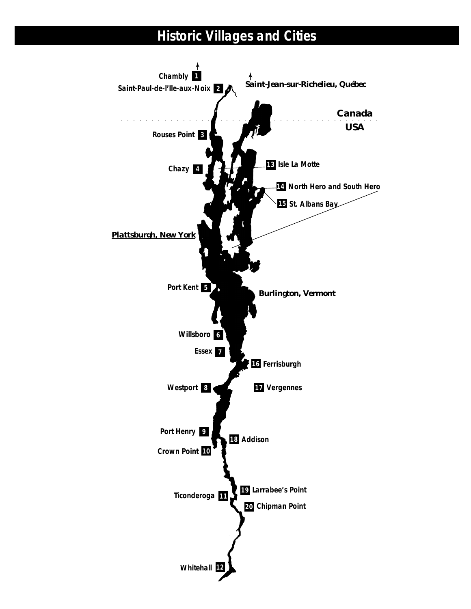# **Historic Villages and Cities**